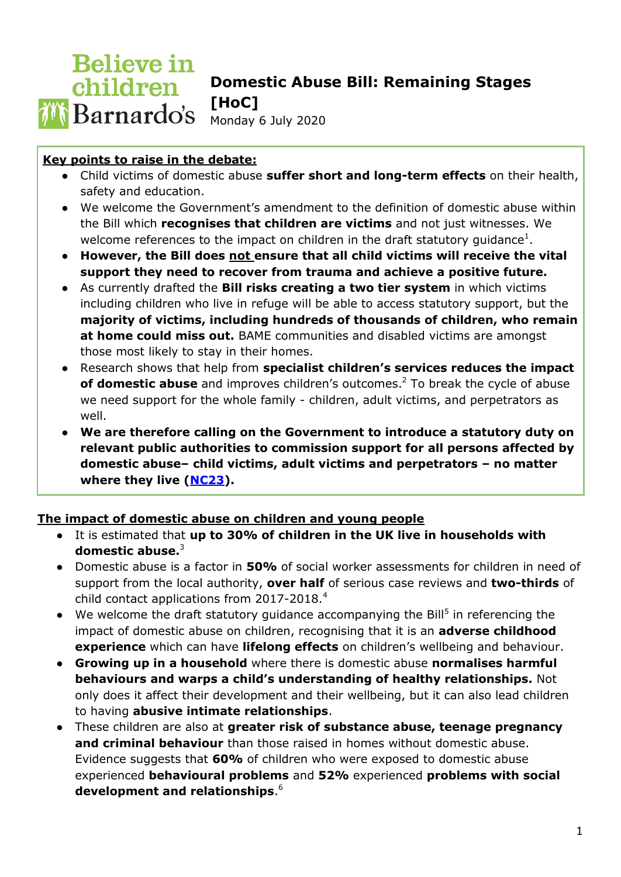### **Believe in Domestic Abuse Bill: Remaining Stages**  children **[HoC]**  Monday 6 July 2020

# **Key points to raise in the debate:**

- Child victims of domestic abuse **suffer short and long-term effects** on their health, safety and education.
- We welcome the Government's amendment to the definition of domestic abuse within the Bill which **recognises that children are victims** and not just witnesses. We welcome references to the impact on children in the draft statutory guidance<sup>1</sup>.
- **However, the Bill does not ensure that all child victims will receive the vital support they need to recover from trauma and achieve a positive future.**
- As currently drafted the **Bill risks creating a two tier system** in which victims including children who live in refuge will be able to access statutory support, but the **majority of victims, including hundreds of thousands of children, who remain at home could miss out.** BAME communities and disabled victims are amongst those most likely to stay in their homes.
- Research shows that help from **specialist children's services reduces the impact of domestic abuse** and improves children's outcomes.<sup>2</sup> To break the cycle of abuse we need support for the whole family - children, adult victims, and perpetrators as well.
- **We are therefore calling on the Government to introduce a statutory duty on relevant public authorities to commission support for all persons affected by domestic abuse– child victims, adult victims and perpetrators – no matter where they live [\(NC23\)](https://publications.parliament.uk/pa/bills/cbill/58-01/0141/amend/domestic_rm_rep_0701.pdf).**

### **The impact of domestic abuse on children and young people**

- It is estimated that **up to 30% of children in the UK live in households with domestic abuse.**<sup>3</sup>
- Domestic abuse is a factor in **50%** of social worker assessments for children in need of support from the local authority, **over half** of serious case reviews and **two-thirds** of child contact applications from 2017-2018.<sup>4</sup>
- $\bullet$  We welcome the draft statutory guidance accompanying the Bill<sup>5</sup> in referencing the impact of domestic abuse on children, recognising that it is an **adverse childhood experience** which can have **lifelong effects** on children's wellbeing and behaviour.
- **Growing up in a household** where there is domestic abuse **normalises harmful behaviours and warps a child's understanding of healthy relationships.** Not only does it affect their development and their wellbeing, but it can also lead children to having **abusive intimate relationships**.
- These children are also at **greater risk of substance abuse, teenage pregnancy and criminal behaviour** than those raised in homes without domestic abuse. Evidence suggests that **60%** of children who were exposed to domestic abuse experienced **behavioural problems** and **52%** experienced **problems with social development and relationships**. 6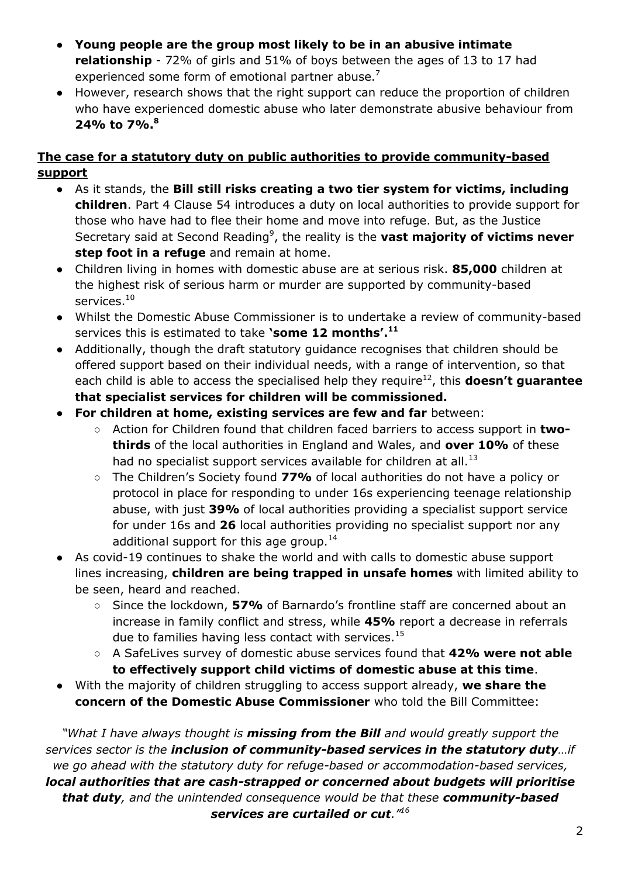- **Young people are the group most likely to be in an abusive intimate relationship** - 72% of girls and 51% of boys between the ages of 13 to 17 had experienced some form of emotional partner abuse.<sup>7</sup>
- However, research shows that the right support can reduce the proportion of children who have experienced domestic abuse who later demonstrate abusive behaviour from **24% to 7%.<sup>8</sup>**

# **The case for a statutory duty on public authorities to provide community-based support**

- As it stands, the **Bill still risks creating a two tier system for victims, including children**. Part 4 Clause 54 introduces a duty on local authorities to provide support for those who have had to flee their home and move into refuge. But, as the Justice Secretary said at Second Reading<sup>9</sup>, the reality is the **vast majority of victims never step foot in a refuge** and remain at home.
- Children living in homes with domestic abuse are at serious risk. **85,000** children at the highest risk of serious harm or murder are supported by community-based services.<sup>10</sup>
- Whilst the Domestic Abuse Commissioner is to undertake a review of community-based services this is estimated to take **'some 12 months'.<sup>11</sup>**
- Additionally, though the draft statutory guidance recognises that children should be offered support based on their individual needs, with a range of intervention, so that each child is able to access the specialised help they require<sup>12</sup>, this **doesn't guarantee that specialist services for children will be commissioned.**
- **For children at home, existing services are few and far** between:
	- Action for Children found that children faced barriers to access support in **twothirds** of the local authorities in England and Wales, and **over 10%** of these had no specialist support services available for children at all.<sup>13</sup>
	- The Children's Society found **77%** of local authorities do not have a policy or protocol in place for responding to under 16s experiencing teenage relationship abuse, with just **39%** of local authorities providing a specialist support service for under 16s and **26** local authorities providing no specialist support nor any additional support for this age group.<sup>14</sup>
- As covid-19 continues to shake the world and with calls to domestic abuse support lines increasing, **children are being trapped in unsafe homes** with limited ability to be seen, heard and reached.
	- Since the lockdown, **57%** of Barnardo's frontline staff are concerned about an increase in family conflict and stress, while **45%** report a decrease in referrals due to families having less contact with services.<sup>15</sup>
	- A SafeLives survey of domestic abuse services found that **42% were not able to effectively support child victims of domestic abuse at this time**.
- With the majority of children struggling to access support already, **we share the concern of the Domestic Abuse Commissioner** who told the Bill Committee:

*"What I have always thought is missing from the Bill and would greatly support the services sector is the inclusion of community-based services in the statutory duty…if we go ahead with the statutory duty for refuge-based or accommodation-based services, local authorities that are cash-strapped or concerned about budgets will prioritise that duty, and the unintended consequence would be that these community-based services are curtailed or cut."<sup>16</sup>*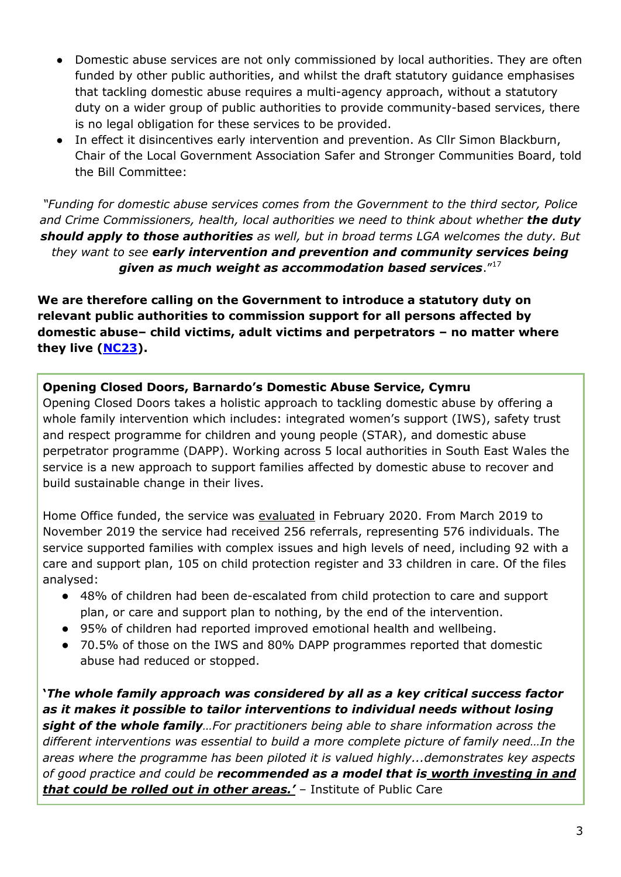- Domestic abuse services are not only commissioned by local authorities. They are often funded by other public authorities, and whilst the draft statutory guidance emphasises that tackling domestic abuse requires a multi-agency approach, without a statutory duty on a wider group of public authorities to provide community-based services, there is no legal obligation for these services to be provided.
- In effect it disincentives early intervention and prevention. As Cllr Simon Blackburn, Chair of the Local Government Association Safer and Stronger Communities Board, told the Bill Committee:

*"Funding for domestic abuse services comes from the Government to the third sector, Police*  and Crime Commissioners, health, local authorities we need to think about whether **the duty** *should apply to those authorities as well, but in broad terms LGA welcomes the duty. But they want to see early intervention and prevention and community services being given as much weight as accommodation based services*."<sup>17</sup>

**We are therefore calling on the Government to introduce a statutory duty on relevant public authorities to commission support for all persons affected by domestic abuse– child victims, adult victims and perpetrators – no matter where they live [\(NC23\)](https://publications.parliament.uk/pa/bills/cbill/58-01/0141/amend/domestic_rm_rep_0701.pdf).**

### **Opening Closed Doors, Barnardo's Domestic Abuse Service, Cymru**

Opening Closed Doors takes a holistic approach to tackling domestic abuse by offering a whole family intervention which includes: integrated women's support (IWS), safety trust and respect programme for children and young people (STAR), and domestic abuse perpetrator programme (DAPP). Working across 5 local authorities in South East Wales the service is a new approach to support families affected by domestic abuse to recover and build sustainable change in their lives.

Home Office funded, the [s](https://ipc.brookes.ac.uk/publications/Barnardo%27s%20Opening%20Closed%20Doors%20Programme%20Evaluation%20final%20report%20130220.pdf)ervice was [evaluated](https://ipc.brookes.ac.uk/publications/Barnardo%27s%20Opening%20Closed%20Doors%20Programme%20Evaluation%20final%20report%20130220.pdf) in February 2020. From March 2019 to November 2019 the service had received 256 referrals, representing 576 individuals. The service supported families with complex issues and high levels of need, including 92 with a care and support plan, 105 on child protection register and 33 children in care. Of the files analysed:

- 48% of children had been de-escalated from child protection to care and support plan, or care and support plan to nothing, by the end of the intervention.
- 95% of children had reported improved emotional health and wellbeing.
- 70.5% of those on the IWS and 80% DAPP programmes reported that domestic abuse had reduced or stopped.

**'***The whole family approach was considered by all as a key critical success factor as it makes it possible to tailor interventions to individual needs without losing sight of the whole family…For practitioners being able to share information across the different interventions was essential to build a more complete picture of family need…In the areas where the programme has been piloted it is valued highly...demonstrates key aspects of good practice and could be recommended as a model that is worth investing in and that could be rolled out in other areas.'* – Institute of Public Care